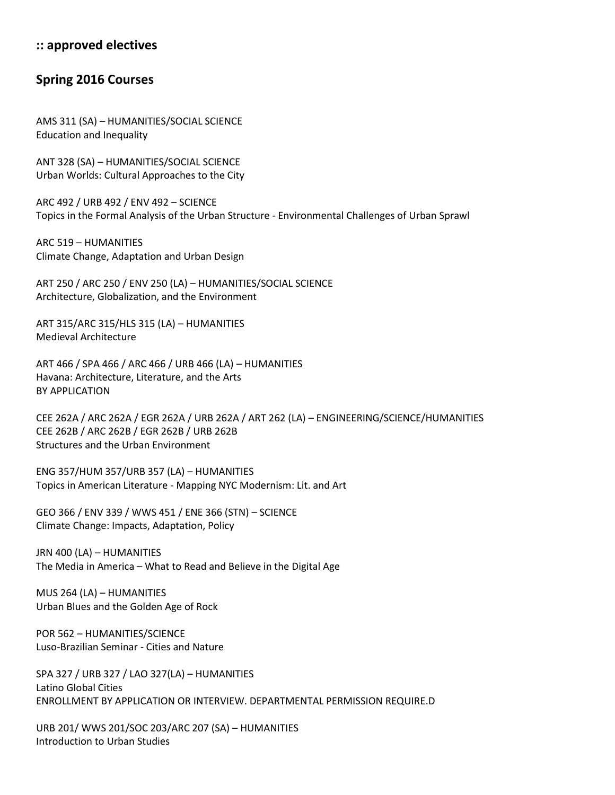## **:: approved electives**

## **Spring 2016 Courses**

AMS 311 (SA) – HUMANITIES/SOCIAL SCIENCE Education and Inequality

ANT 328 (SA) – HUMANITIES/SOCIAL SCIENCE Urban Worlds: Cultural Approaches to the City

ARC 492 / URB 492 / ENV 492 – SCIENCE Topics in the Formal Analysis of the Urban Structure - Environmental Challenges of Urban Sprawl

ARC 519 – HUMANITIES Climate Change, Adaptation and Urban Design

ART 250 / ARC 250 / ENV 250 (LA) – HUMANITIES/SOCIAL SCIENCE Architecture, Globalization, and the Environment

ART 315/ARC 315/HLS 315 (LA) – HUMANITIES Medieval Architecture

ART 466 / SPA 466 / ARC 466 / URB 466 (LA) – HUMANITIES Havana: Architecture, Literature, and the Arts BY APPLICATION

CEE 262A / ARC 262A / EGR 262A / URB 262A / ART 262 (LA) – ENGINEERING/SCIENCE/HUMANITIES CEE 262B / ARC 262B / EGR 262B / URB 262B Structures and the Urban Environment

ENG 357/HUM 357/URB 357 (LA) – HUMANITIES Topics in American Literature - Mapping NYC Modernism: Lit. and Art

GEO 366 / ENV 339 / WWS 451 / ENE 366 (STN) – SCIENCE Climate Change: Impacts, Adaptation, Policy

JRN 400 (LA) – HUMANITIES The Media in America – What to Read and Believe in the Digital Age

MUS 264 (LA) – HUMANITIES Urban Blues and the Golden Age of Rock

POR 562 – HUMANITIES/SCIENCE Luso-Brazilian Seminar - Cities and Nature

SPA 327 / URB 327 / LAO 327(LA) – HUMANITIES Latino Global Cities ENROLLMENT BY APPLICATION OR INTERVIEW. DEPARTMENTAL PERMISSION REQUIRE.D

URB 201/ WWS 201/SOC 203/ARC 207 (SA) – HUMANITIES Introduction to Urban Studies